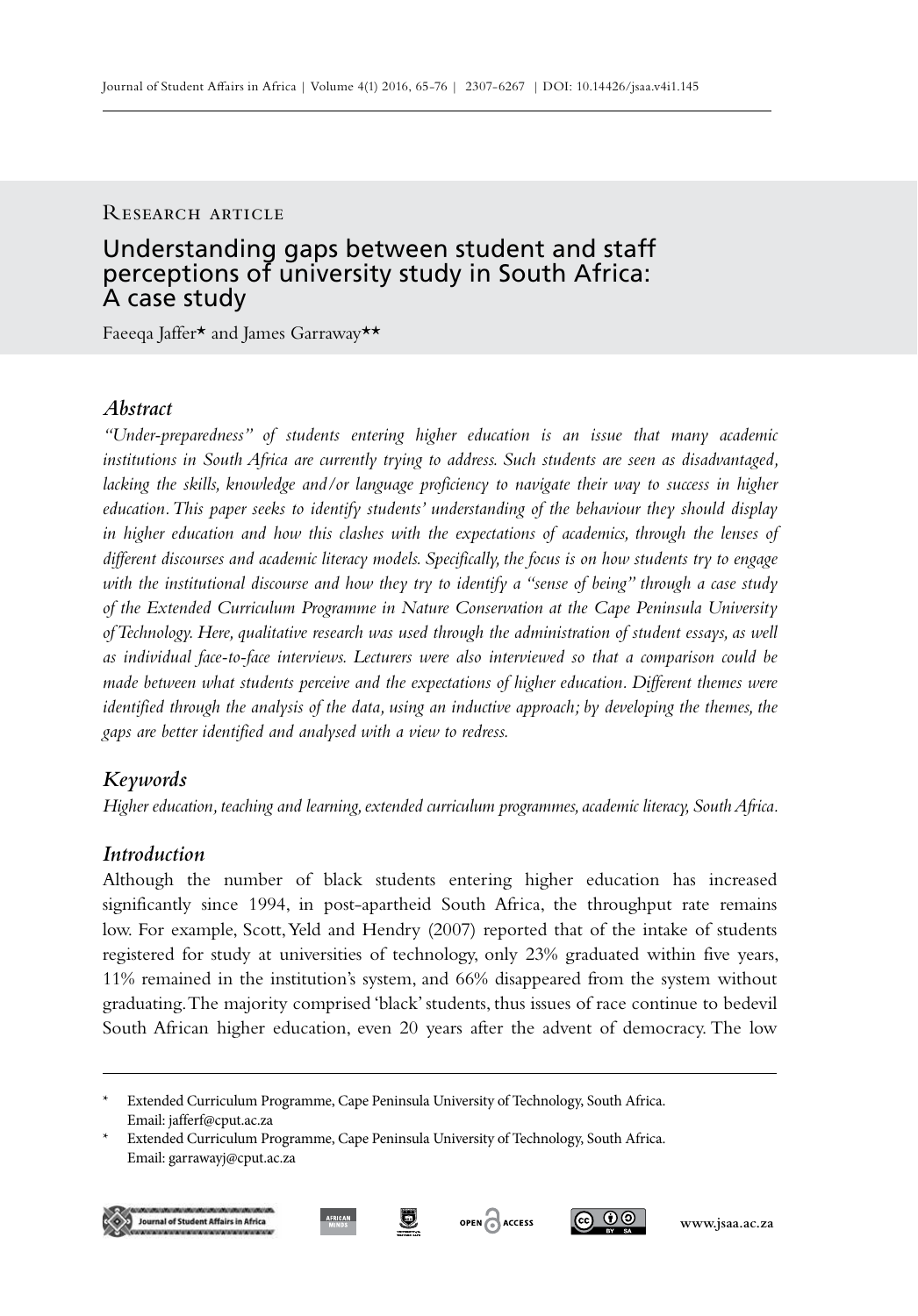### RESEARCH ARTICLE

# Understanding gaps between student and staff perceptions of university study in South Africa: A case study

Faeeqa Jaffer\* and James Garraway\*\*

# *Abstract*

*"Under-preparedness" of students entering higher education is an issue that many academic institutions in South Africa are currently trying to address. Such students are seen as disadvantaged, lacking the skills, knowledge and/or language proficiency to navigate their way to success in higher education. This paper seeks to identify students' understanding of the behaviour they should display*  in higher education and how this clashes with the expectations of academics, through the lenses of *different discourses and academic literacy models. Specifically, the focus is on how students try to engage with the institutional discourse and how they try to identify a "sense of being" through a case study of the Extended Curriculum Programme in Nature Conservation at the Cape Peninsula University of Technology. Here, qualitative research was used through the administration of student essays, as well as individual face-to-face interviews. Lecturers were also interviewed so that a comparison could be made between what students perceive and the expectations of higher education. Different themes were identified through the analysis of the data, using an inductive approach; by developing the themes, the gaps are better identified and analysed with a view to redress.*

## *Keywords*

*Higher education, teaching and learning, extended curriculum programmes, academic literacy, South Africa.*

# *Introduction*

Although the number of black students entering higher education has increased significantly since 1994, in post-apartheid South Africa, the throughput rate remains low. For example, Scott, Yeld and Hendry (2007) reported that of the intake of students registered for study at universities of technology, only 23% graduated within five years, 11% remained in the institution's system, and 66% disappeared from the system without graduating. The majority comprised 'black' students, thus issues of race continue to bedevil South African higher education, even 20 years after the advent of democracy. The low





<sup>\*</sup> Extended Curriculum Programme, Cape Peninsula University of Technology, South Africa. Email: jafferf@cput.ac.za

Extended Curriculum Programme, Cape Peninsula University of Technology, South Africa. Email: garrawayj@cput.ac.za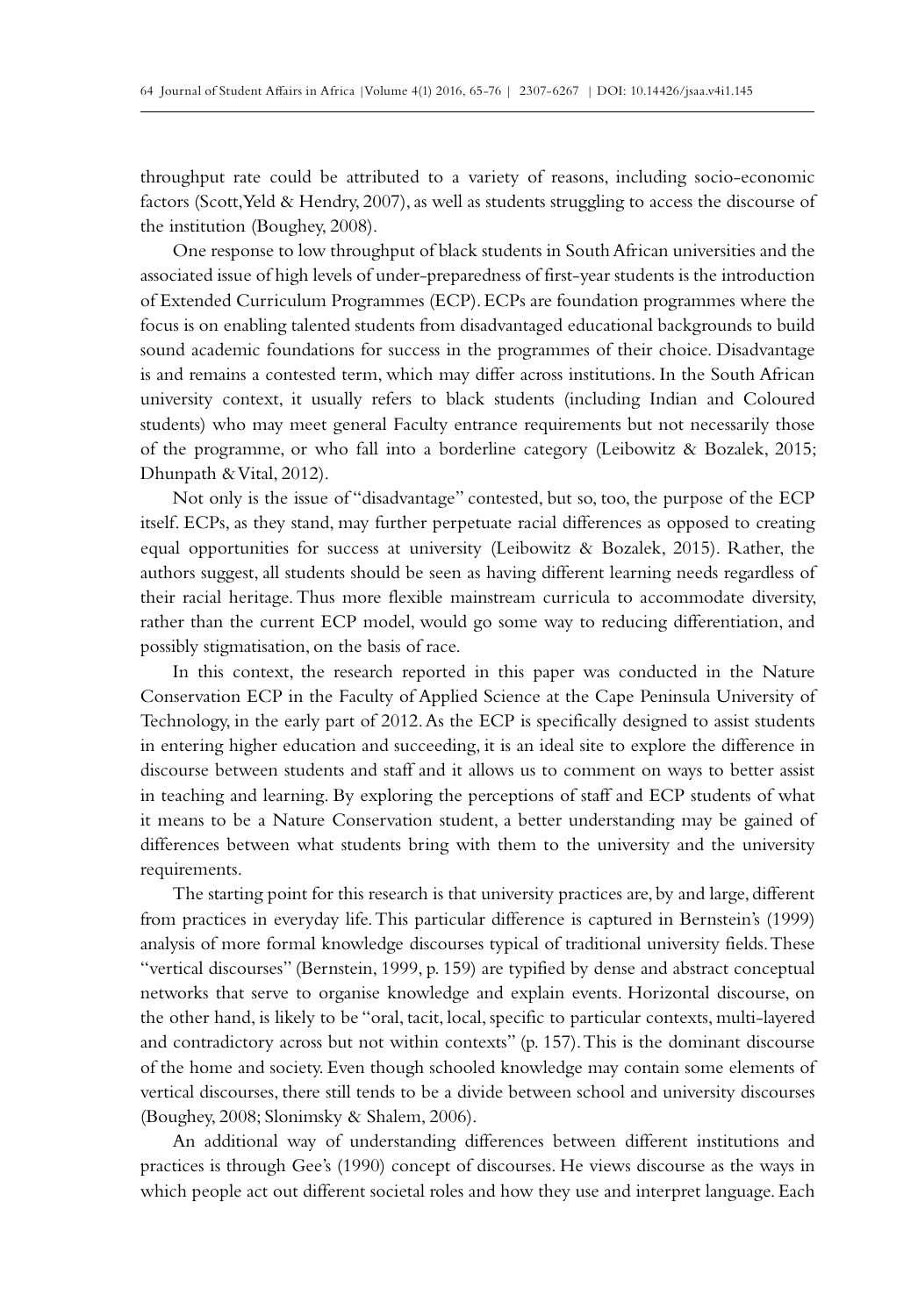throughput rate could be attributed to a variety of reasons, including socio-economic factors (Scott, Yeld & Hendry, 2007), as well as students struggling to access the discourse of the institution (Boughey, 2008).

One response to low throughput of black students in South African universities and the associated issue of high levels of under-preparedness of first-year students is the introduction of Extended Curriculum Programmes (ECP). ECPs are foundation programmes where the focus is on enabling talented students from disadvantaged educational backgrounds to build sound academic foundations for success in the programmes of their choice. Disadvantage is and remains a contested term, which may differ across institutions. In the South African university context, it usually refers to black students (including Indian and Coloured students) who may meet general Faculty entrance requirements but not necessarily those of the programme, or who fall into a borderline category (Leibowitz & Bozalek, 2015; Dhunpath & Vital, 2012).

Not only is the issue of "disadvantage" contested, but so, too, the purpose of the ECP itself. ECPs, as they stand, may further perpetuate racial differences as opposed to creating equal opportunities for success at university (Leibowitz & Bozalek, 2015). Rather, the authors suggest, all students should be seen as having different learning needs regardless of their racial heritage. Thus more flexible mainstream curricula to accommodate diversity, rather than the current ECP model, would go some way to reducing differentiation, and possibly stigmatisation, on the basis of race.

In this context, the research reported in this paper was conducted in the Nature Conservation ECP in the Faculty of Applied Science at the Cape Peninsula University of Technology, in the early part of 2012. As the ECP is specifically designed to assist students in entering higher education and succeeding, it is an ideal site to explore the difference in discourse between students and staff and it allows us to comment on ways to better assist in teaching and learning. By exploring the perceptions of staff and ECP students of what it means to be a Nature Conservation student, a better understanding may be gained of differences between what students bring with them to the university and the university requirements.

The starting point for this research is that university practices are, by and large, different from practices in everyday life. This particular difference is captured in Bernstein's (1999) analysis of more formal knowledge discourses typical of traditional university fields. These "vertical discourses" (Bernstein, 1999, p. 159) are typified by dense and abstract conceptual networks that serve to organise knowledge and explain events. Horizontal discourse, on the other hand, is likely to be "oral, tacit, local, specific to particular contexts, multi-layered and contradictory across but not within contexts" (p. 157). This is the dominant discourse of the home and society. Even though schooled knowledge may contain some elements of vertical discourses, there still tends to be a divide between school and university discourses (Boughey, 2008; Slonimsky & Shalem, 2006).

An additional way of understanding differences between different institutions and practices is through Gee's (1990) concept of discourses. He views discourse as the ways in which people act out different societal roles and how they use and interpret language. Each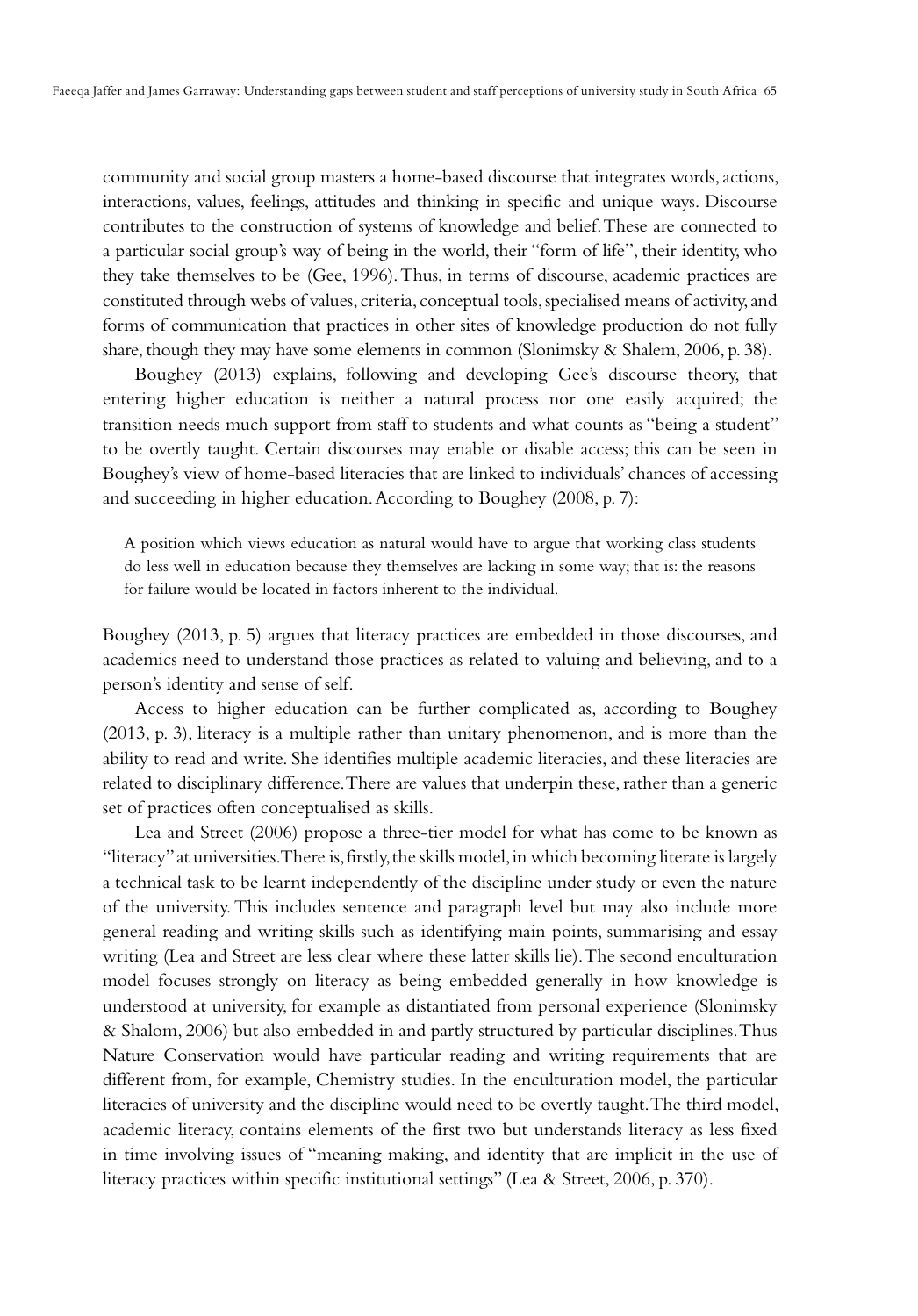community and social group masters a home-based discourse that integrates words, actions, interactions, values, feelings, attitudes and thinking in specific and unique ways. Discourse contributes to the construction of systems of knowledge and belief. These are connected to a particular social group's way of being in the world, their "form of life", their identity, who they take themselves to be (Gee, 1996). Thus, in terms of discourse, academic practices are constituted through webs of values, criteria, conceptual tools, specialised means of activity, and forms of communication that practices in other sites of knowledge production do not fully share, though they may have some elements in common (Slonimsky & Shalem, 2006, p. 38).

Boughey (2013) explains, following and developing Gee's discourse theory, that entering higher education is neither a natural process nor one easily acquired; the transition needs much support from staff to students and what counts as "being a student" to be overtly taught. Certain discourses may enable or disable access; this can be seen in Boughey's view of home-based literacies that are linked to individuals' chances of accessing and succeeding in higher education. According to Boughey (2008, p. 7):

A position which views education as natural would have to argue that working class students do less well in education because they themselves are lacking in some way; that is: the reasons for failure would be located in factors inherent to the individual.

Boughey (2013, p. 5) argues that literacy practices are embedded in those discourses, and academics need to understand those practices as related to valuing and believing, and to a person's identity and sense of self.

Access to higher education can be further complicated as, according to Boughey (2013, p. 3), literacy is a multiple rather than unitary phenomenon, and is more than the ability to read and write. She identifies multiple academic literacies, and these literacies are related to disciplinary difference. There are values that underpin these, rather than a generic set of practices often conceptualised as skills.

Lea and Street (2006) propose a three-tier model for what has come to be known as "literacy" at universities. There is, firstly, the skills model, in which becoming literate is largely a technical task to be learnt independently of the discipline under study or even the nature of the university. This includes sentence and paragraph level but may also include more general reading and writing skills such as identifying main points, summarising and essay writing (Lea and Street are less clear where these latter skills lie). The second enculturation model focuses strongly on literacy as being embedded generally in how knowledge is understood at university, for example as distantiated from personal experience (Slonimsky & Shalom, 2006) but also embedded in and partly structured by particular disciplines. Thus Nature Conservation would have particular reading and writing requirements that are different from, for example, Chemistry studies. In the enculturation model, the particular literacies of university and the discipline would need to be overtly taught. The third model, academic literacy, contains elements of the first two but understands literacy as less fixed in time involving issues of "meaning making, and identity that are implicit in the use of literacy practices within specific institutional settings" (Lea & Street, 2006, p. 370).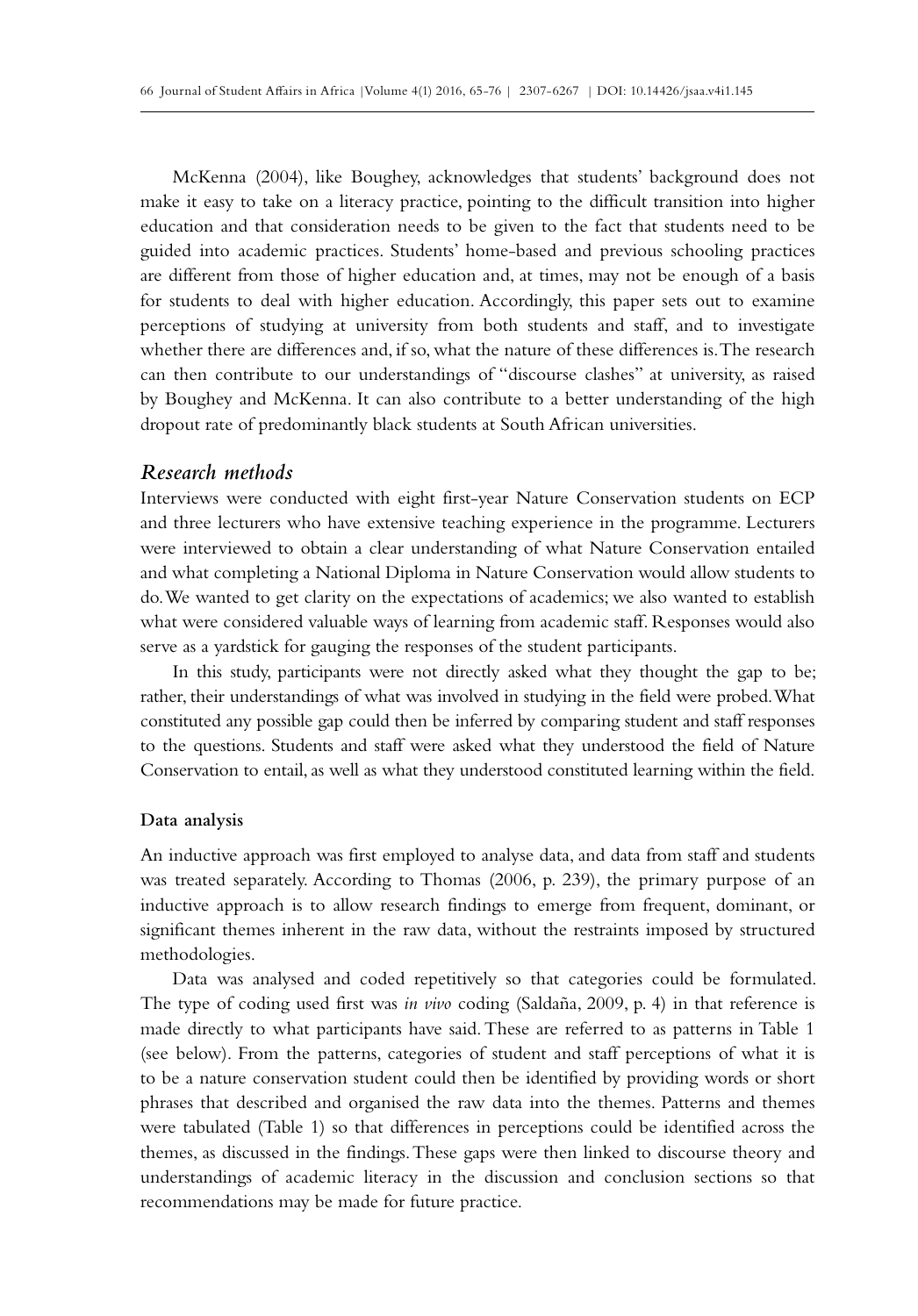McKenna (2004), like Boughey, acknowledges that students' background does not make it easy to take on a literacy practice, pointing to the difficult transition into higher education and that consideration needs to be given to the fact that students need to be guided into academic practices. Students' home-based and previous schooling practices are different from those of higher education and, at times, may not be enough of a basis for students to deal with higher education. Accordingly, this paper sets out to examine perceptions of studying at university from both students and staff, and to investigate whether there are differences and, if so, what the nature of these differences is. The research can then contribute to our understandings of "discourse clashes" at university, as raised by Boughey and McKenna. It can also contribute to a better understanding of the high dropout rate of predominantly black students at South African universities.

# *Research methods*

Interviews were conducted with eight first-year Nature Conservation students on ECP and three lecturers who have extensive teaching experience in the programme. Lecturers were interviewed to obtain a clear understanding of what Nature Conservation entailed and what completing a National Diploma in Nature Conservation would allow students to do. We wanted to get clarity on the expectations of academics; we also wanted to establish what were considered valuable ways of learning from academic staff. Responses would also serve as a yardstick for gauging the responses of the student participants.

In this study, participants were not directly asked what they thought the gap to be; rather, their understandings of what was involved in studying in the field were probed. What constituted any possible gap could then be inferred by comparing student and staff responses to the questions. Students and staff were asked what they understood the field of Nature Conservation to entail, as well as what they understood constituted learning within the field.

### **Data analysis**

An inductive approach was first employed to analyse data, and data from staff and students was treated separately. According to Thomas (2006, p. 239), the primary purpose of an inductive approach is to allow research findings to emerge from frequent, dominant, or significant themes inherent in the raw data, without the restraints imposed by structured methodologies.

Data was analysed and coded repetitively so that categories could be formulated. The type of coding used first was *in vivo* coding (Saldaña, 2009, p. 4) in that reference is made directly to what participants have said. These are referred to as patterns in Table 1 (see below). From the patterns, categories of student and staff perceptions of what it is to be a nature conservation student could then be identified by providing words or short phrases that described and organised the raw data into the themes. Patterns and themes were tabulated (Table 1) so that differences in perceptions could be identified across the themes, as discussed in the findings. These gaps were then linked to discourse theory and understandings of academic literacy in the discussion and conclusion sections so that recommendations may be made for future practice.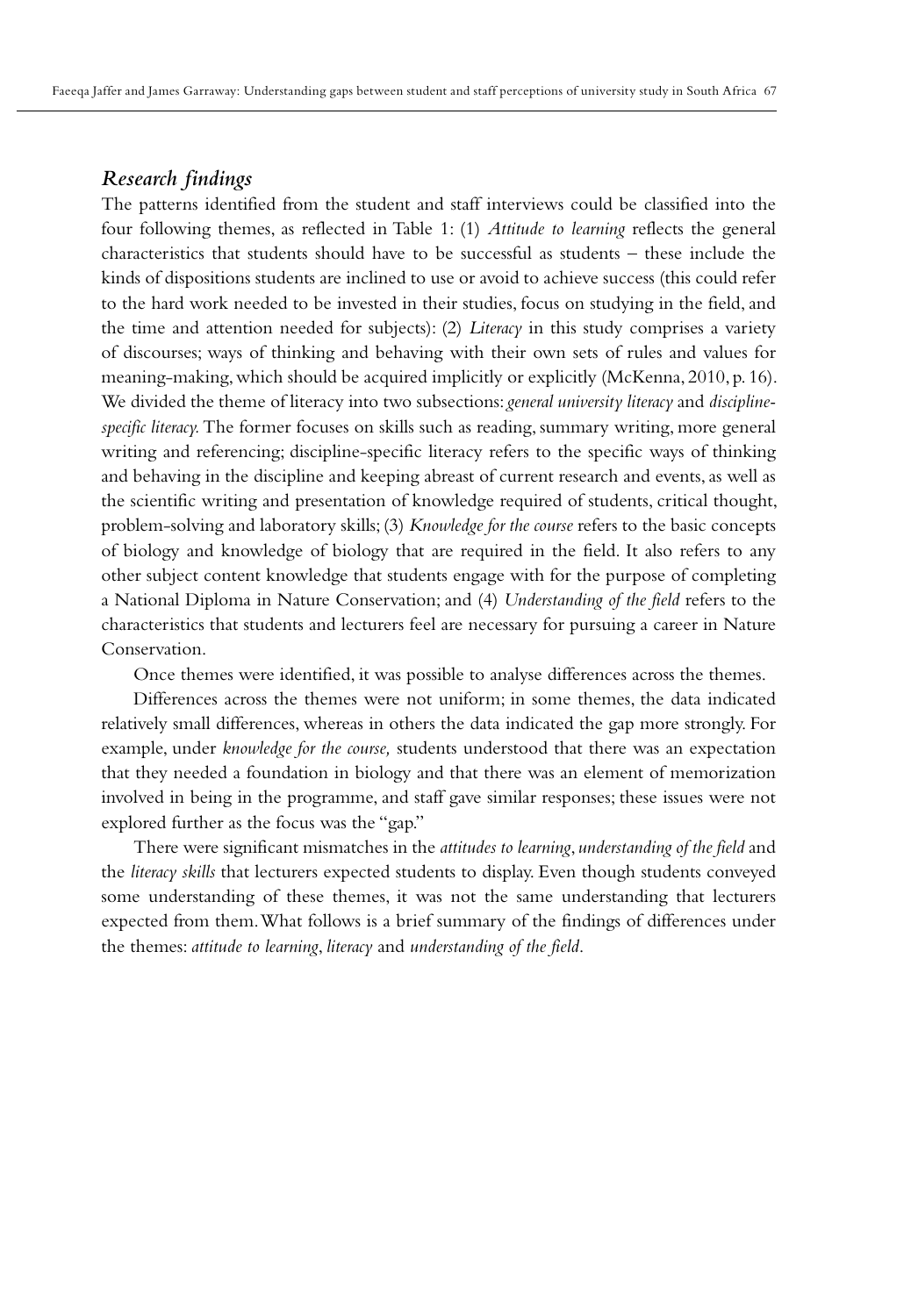# *Research findings*

The patterns identified from the student and staff interviews could be classified into the four following themes, as reflected in Table 1: (1) *Attitude to learning* reflects the general characteristics that students should have to be successful as students – these include the kinds of dispositions students are inclined to use or avoid to achieve success (this could refer to the hard work needed to be invested in their studies, focus on studying in the field, and the time and attention needed for subjects): (2) *Literacy* in this study comprises a variety of discourses; ways of thinking and behaving with their own sets of rules and values for meaning-making, which should be acquired implicitly or explicitly (McKenna, 2010, p. 16). We divided the theme of literacy into two subsections: *general university literacy* and *disciplinespecific literacy.* The former focuses on skills such as reading, summary writing, more general writing and referencing; discipline-specific literacy refers to the specific ways of thinking and behaving in the discipline and keeping abreast of current research and events, as well as the scientific writing and presentation of knowledge required of students, critical thought, problem-solving and laboratory skills; (3) *Knowledge for the course* refers to the basic concepts of biology and knowledge of biology that are required in the field. It also refers to any other subject content knowledge that students engage with for the purpose of completing a National Diploma in Nature Conservation; and (4) *Understanding of the field* refers to the characteristics that students and lecturers feel are necessary for pursuing a career in Nature Conservation.

Once themes were identified, it was possible to analyse differences across the themes.

Differences across the themes were not uniform; in some themes, the data indicated relatively small differences, whereas in others the data indicated the gap more strongly. For example, under *knowledge for the course,* students understood that there was an expectation that they needed a foundation in biology and that there was an element of memorization involved in being in the programme, and staff gave similar responses; these issues were not explored further as the focus was the "gap."

There were significant mismatches in the *attitudes to learning*, *understanding of the field* and the *literacy skills* that lecturers expected students to display. Even though students conveyed some understanding of these themes, it was not the same understanding that lecturers expected from them. What follows is a brief summary of the findings of differences under the themes: *attitude to learning*, *literacy* and *understanding of the field*.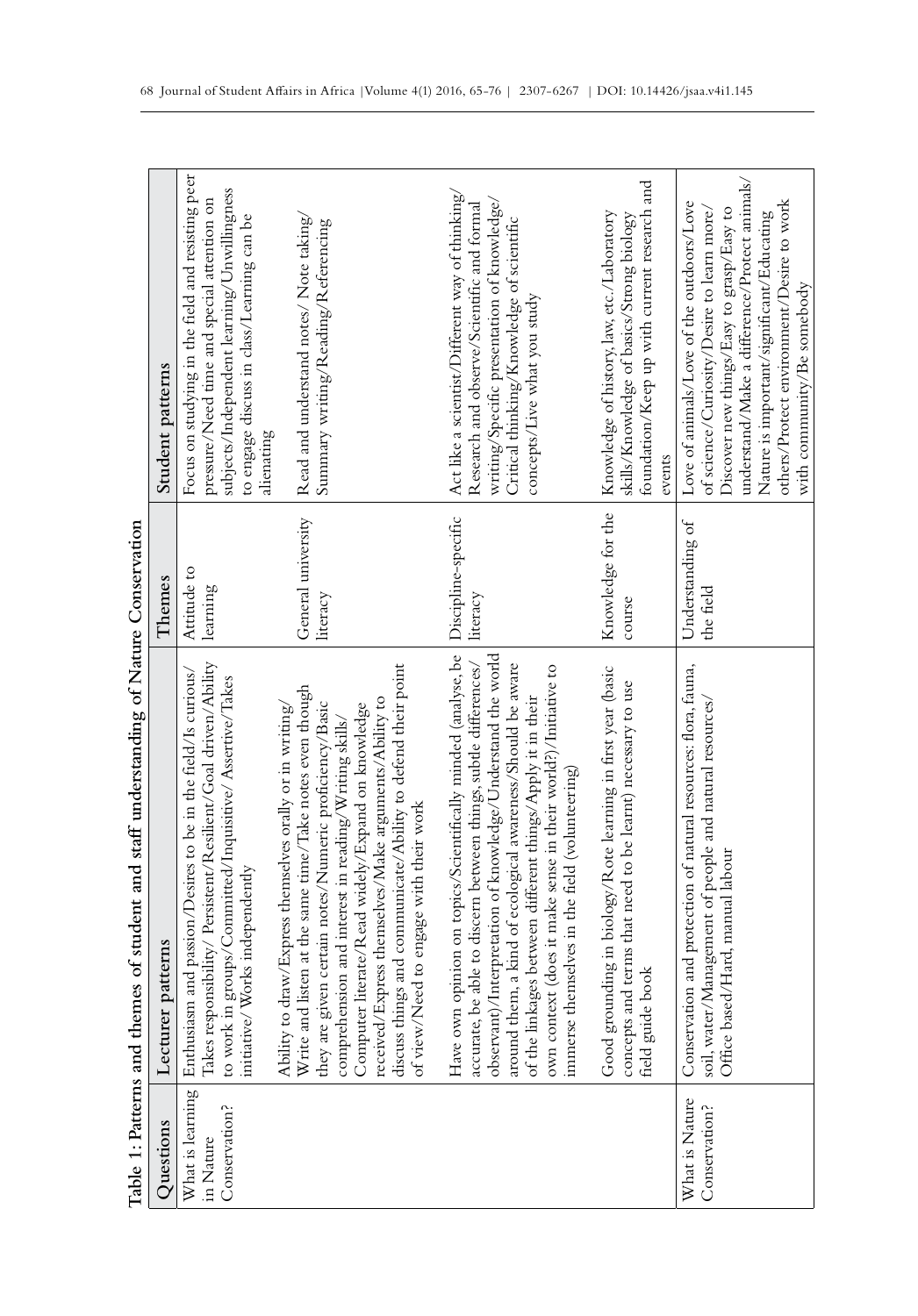|                                                | Table 1: Patterns and themes of student and staff understanding of Nature Conservation                                                                                                                                                                                                                                                                                                                                                                             |                                 |                                                                                                                                                                                                                                                                                 |
|------------------------------------------------|--------------------------------------------------------------------------------------------------------------------------------------------------------------------------------------------------------------------------------------------------------------------------------------------------------------------------------------------------------------------------------------------------------------------------------------------------------------------|---------------------------------|---------------------------------------------------------------------------------------------------------------------------------------------------------------------------------------------------------------------------------------------------------------------------------|
| Questions                                      | Lecturer patterns                                                                                                                                                                                                                                                                                                                                                                                                                                                  | Themes                          | Student patterns                                                                                                                                                                                                                                                                |
| What is learning<br>Conservation?<br>in Nature | Takes responsibility/Persistent/Resilient/Goal driven/Ability<br>Enthusiasm and passion/Desires to be in the field/Is curious/<br>to work in groups/Committed/Inquisitive/Assertive/Takes<br>Works independently<br>initiative/                                                                                                                                                                                                                                    | Attitude to<br>learning         | Focus on studying in the field and resisting peer<br>subjects/Independent learning/Unwillingness<br>pressure/Need time and special attention on<br>to engage discuss in class/Learning can be<br>alienating                                                                     |
|                                                | discuss things and communicate/Ability to defend their point<br>Write and listen at the same time/Take notes even though<br>received/Express themselves/Make arguments/Ability to<br>they are given certain notes/Numeric proficiency/Basic<br>Computer literate/Read widely/Expand on knowledge<br>draw/Express themselves orally or in writing/<br>comprehension and interest in reading/Writing skills/<br>of view/Need to engage with their work<br>Ability to | General university<br>literacy  | Read and understand notes/ Note taking/<br>Summary writing/Reading/Referencing                                                                                                                                                                                                  |
|                                                | Have own opinion on topics/Scientifically minded (analyse, be<br>observant)/Interpretation of knowledge/Understand the world<br>around them, a kind of ecological awareness/Should be aware<br>own context (does it make sense in their world?)/Initiative to<br>be able to discern between things, subtle differences/<br>of the linkages between different things/Apply it in their<br>immerse themselves in the field (volunteering)<br>accurate,               | Discipline-specific<br>literacy | Act like a scientist/Different way of thinking/<br>writing/Specific presentation of knowledge/<br>Research and observe/Scientific and formal<br>Critical thinking/Knowledge of scientific<br>concepts/Live what you study                                                       |
|                                                | Good grounding in biology/Rote learning in first year (basic<br>and terms that need to be learnt) necessary to use<br>field guide book<br>concepts                                                                                                                                                                                                                                                                                                                 | Knowledge for the<br>course     | foundation/Keep up with current research and<br>Knowledge of history, law, etc./Laboratory<br>skills/Knowledge of basics/Strong biology<br>events                                                                                                                               |
| What is Nature<br>Conservation?                | Conservation and protection of natural resources: flora, fauna,<br>soil, water/Management of people and natural resources/<br>Office based/Hard, manual labour                                                                                                                                                                                                                                                                                                     | Understanding of<br>the field   | understand/Make a difference/Protect animals/<br>others/Protect environment/Desire to work<br>Love of animals/Love of the outdoors/Love<br>of science/Curiosity/Desire to learn more/<br>Discover new things/Easy to grasp/Easy to<br>Nature is important/significant/Educating |
|                                                |                                                                                                                                                                                                                                                                                                                                                                                                                                                                    |                                 | with community/Be somebody                                                                                                                                                                                                                                                      |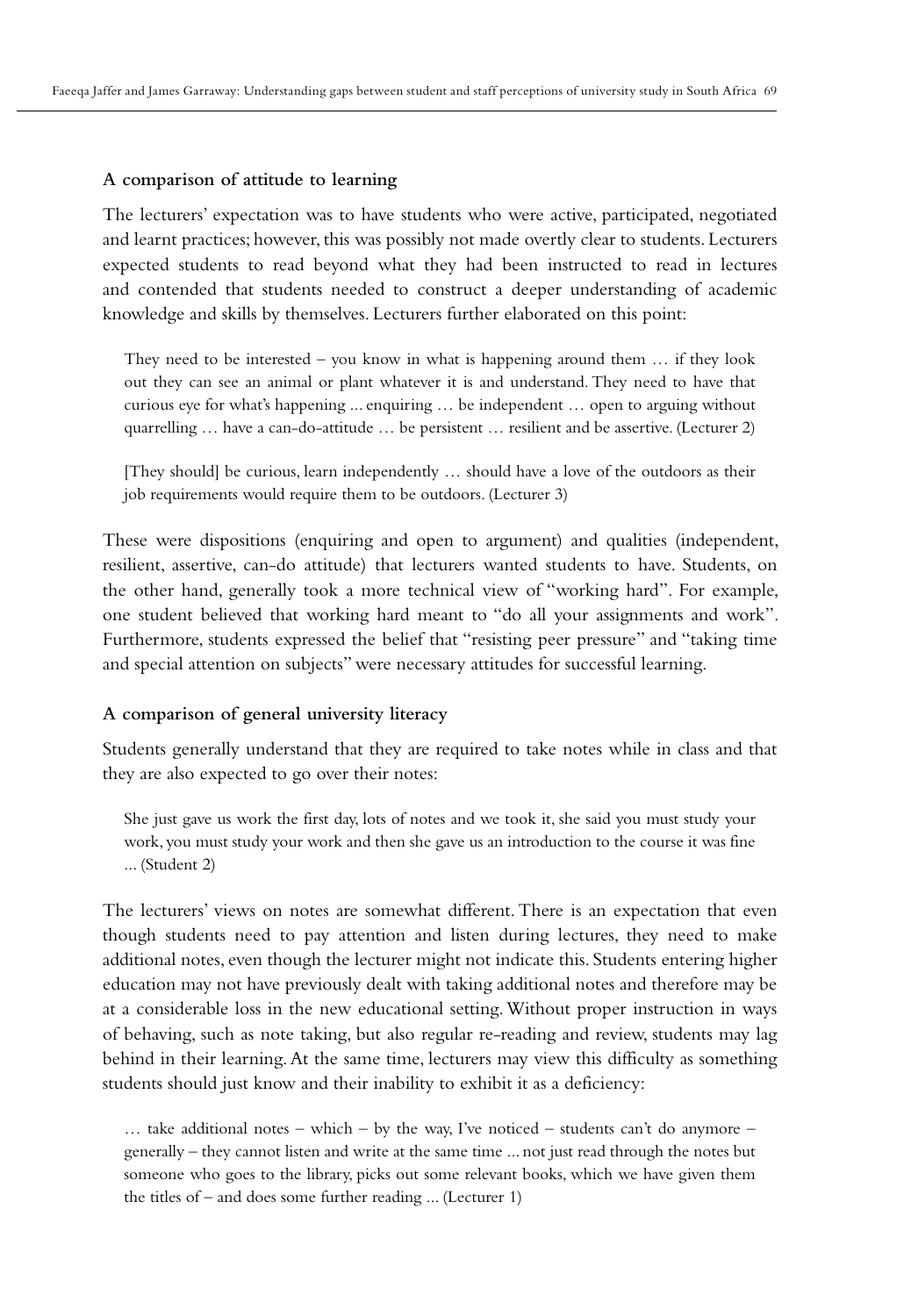#### **A comparison of attitude to learning**

The lecturers' expectation was to have students who were active, participated, negotiated and learnt practices; however, this was possibly not made overtly clear to students. Lecturers expected students to read beyond what they had been instructed to read in lectures and contended that students needed to construct a deeper understanding of academic knowledge and skills by themselves. Lecturers further elaborated on this point:

They need to be interested – you know in what is happening around them  $\ldots$  if they look out they can see an animal or plant whatever it is and understand. They need to have that curious eye for what's happening ... enquiring … be independent … open to arguing without quarrelling … have a can-do-attitude … be persistent … resilient and be assertive. (Lecturer 2)

[They should] be curious, learn independently … should have a love of the outdoors as their job requirements would require them to be outdoors. (Lecturer 3)

These were dispositions (enquiring and open to argument) and qualities (independent, resilient, assertive, can-do attitude) that lecturers wanted students to have. Students, on the other hand, generally took a more technical view of "working hard". For example, one student believed that working hard meant to "do all your assignments and work". Furthermore, students expressed the belief that "resisting peer pressure" and "taking time and special attention on subjects" were necessary attitudes for successful learning.

#### **A comparison of general university literacy**

Students generally understand that they are required to take notes while in class and that they are also expected to go over their notes:

She just gave us work the first day, lots of notes and we took it, she said you must study your work, you must study your work and then she gave us an introduction to the course it was fine ... (Student 2)

The lecturers' views on notes are somewhat different. There is an expectation that even though students need to pay attention and listen during lectures, they need to make additional notes, even though the lecturer might not indicate this. Students entering higher education may not have previously dealt with taking additional notes and therefore may be at a considerable loss in the new educational setting. Without proper instruction in ways of behaving, such as note taking, but also regular re-reading and review, students may lag behind in their learning. At the same time, lecturers may view this difficulty as something students should just know and their inability to exhibit it as a deficiency:

 $\ldots$  take additional notes – which – by the way, I've noticed – students can't do anymore – generally – they cannot listen and write at the same time ... not just read through the notes but someone who goes to the library, picks out some relevant books, which we have given them the titles of – and does some further reading ... (Lecturer 1)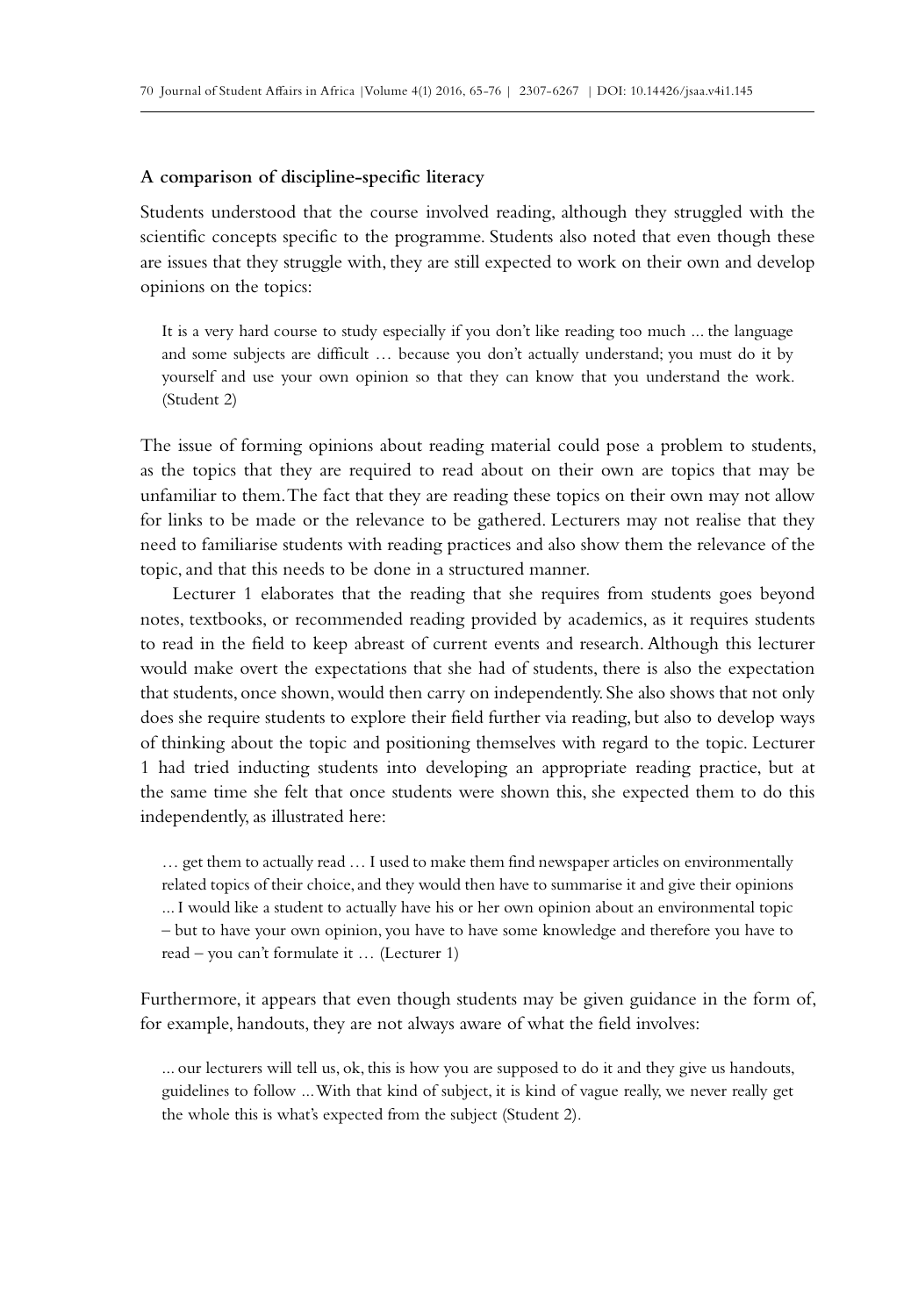#### **A comparison of discipline-specific literacy**

Students understood that the course involved reading, although they struggled with the scientific concepts specific to the programme. Students also noted that even though these are issues that they struggle with, they are still expected to work on their own and develop opinions on the topics:

It is a very hard course to study especially if you don't like reading too much ... the language and some subjects are difficult … because you don't actually understand; you must do it by yourself and use your own opinion so that they can know that you understand the work. (Student 2)

The issue of forming opinions about reading material could pose a problem to students, as the topics that they are required to read about on their own are topics that may be unfamiliar to them. The fact that they are reading these topics on their own may not allow for links to be made or the relevance to be gathered. Lecturers may not realise that they need to familiarise students with reading practices and also show them the relevance of the topic, and that this needs to be done in a structured manner.

Lecturer 1 elaborates that the reading that she requires from students goes beyond notes, textbooks, or recommended reading provided by academics, as it requires students to read in the field to keep abreast of current events and research. Although this lecturer would make overt the expectations that she had of students, there is also the expectation that students, once shown, would then carry on independently. She also shows that not only does she require students to explore their field further via reading, but also to develop ways of thinking about the topic and positioning themselves with regard to the topic. Lecturer 1 had tried inducting students into developing an appropriate reading practice, but at the same time she felt that once students were shown this, she expected them to do this independently, as illustrated here:

… get them to actually read … I used to make them find newspaper articles on environmentally related topics of their choice, and they would then have to summarise it and give their opinions ... I would like a student to actually have his or her own opinion about an environmental topic – but to have your own opinion, you have to have some knowledge and therefore you have to read – you can't formulate it … (Lecturer 1)

Furthermore, it appears that even though students may be given guidance in the form of, for example, handouts, they are not always aware of what the field involves:

... our lecturers will tell us, ok, this is how you are supposed to do it and they give us handouts, guidelines to follow ... With that kind of subject, it is kind of vague really, we never really get the whole this is what's expected from the subject (Student 2).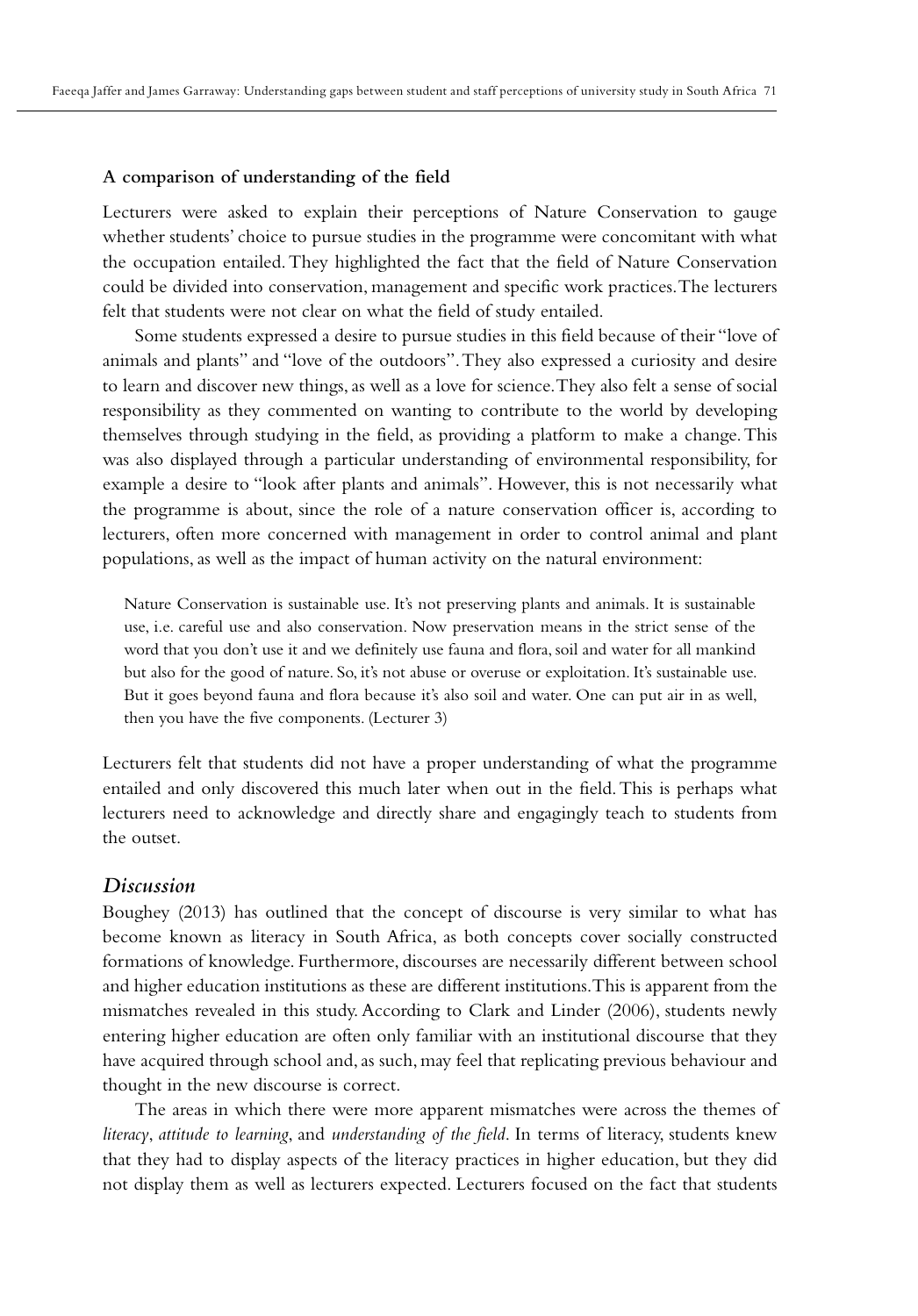#### **A comparison of understanding of the field**

Lecturers were asked to explain their perceptions of Nature Conservation to gauge whether students' choice to pursue studies in the programme were concomitant with what the occupation entailed. They highlighted the fact that the field of Nature Conservation could be divided into conservation, management and specific work practices. The lecturers felt that students were not clear on what the field of study entailed.

Some students expressed a desire to pursue studies in this field because of their "love of animals and plants" and "love of the outdoors". They also expressed a curiosity and desire to learn and discover new things, as well as a love for science. They also felt a sense of social responsibility as they commented on wanting to contribute to the world by developing themselves through studying in the field, as providing a platform to make a change. This was also displayed through a particular understanding of environmental responsibility, for example a desire to "look after plants and animals". However, this is not necessarily what the programme is about, since the role of a nature conservation officer is, according to lecturers, often more concerned with management in order to control animal and plant populations, as well as the impact of human activity on the natural environment:

Nature Conservation is sustainable use. It's not preserving plants and animals. It is sustainable use, i.e. careful use and also conservation. Now preservation means in the strict sense of the word that you don't use it and we definitely use fauna and flora, soil and water for all mankind but also for the good of nature. So, it's not abuse or overuse or exploitation. It's sustainable use. But it goes beyond fauna and flora because it's also soil and water. One can put air in as well, then you have the five components. (Lecturer 3)

Lecturers felt that students did not have a proper understanding of what the programme entailed and only discovered this much later when out in the field. This is perhaps what lecturers need to acknowledge and directly share and engagingly teach to students from the outset.

### *Discussion*

Boughey (2013) has outlined that the concept of discourse is very similar to what has become known as literacy in South Africa, as both concepts cover socially constructed formations of knowledge. Furthermore, discourses are necessarily different between school and higher education institutions as these are different institutions. This is apparent from the mismatches revealed in this study. According to Clark and Linder (2006), students newly entering higher education are often only familiar with an institutional discourse that they have acquired through school and, as such, may feel that replicating previous behaviour and thought in the new discourse is correct.

The areas in which there were more apparent mismatches were across the themes of *literacy*, *attitude to learning*, and *understanding of the field*. In terms of literacy, students knew that they had to display aspects of the literacy practices in higher education, but they did not display them as well as lecturers expected. Lecturers focused on the fact that students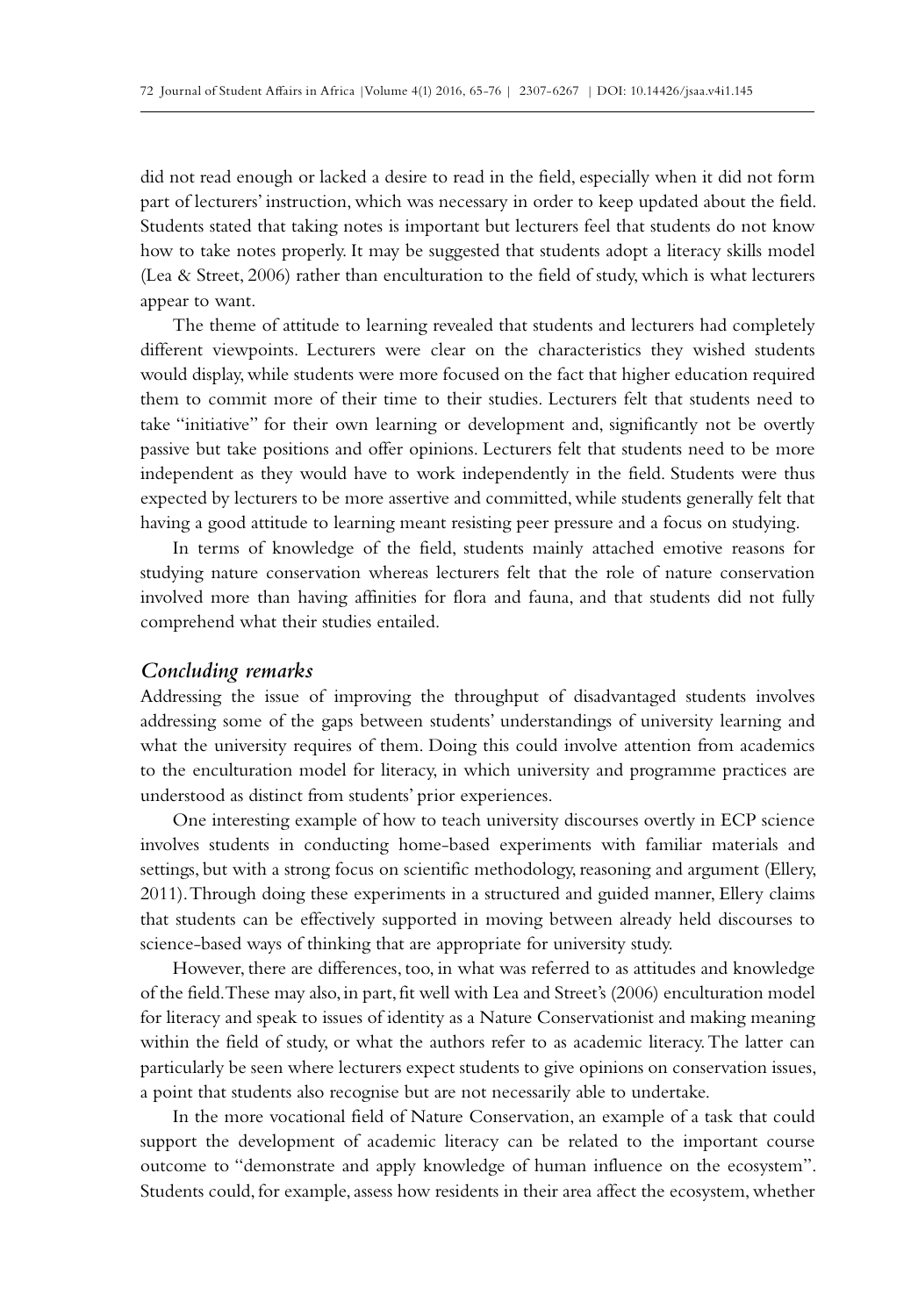did not read enough or lacked a desire to read in the field, especially when it did not form part of lecturers' instruction, which was necessary in order to keep updated about the field. Students stated that taking notes is important but lecturers feel that students do not know how to take notes properly. It may be suggested that students adopt a literacy skills model (Lea & Street, 2006) rather than enculturation to the field of study, which is what lecturers appear to want.

The theme of attitude to learning revealed that students and lecturers had completely different viewpoints. Lecturers were clear on the characteristics they wished students would display, while students were more focused on the fact that higher education required them to commit more of their time to their studies. Lecturers felt that students need to take "initiative" for their own learning or development and, significantly not be overtly passive but take positions and offer opinions. Lecturers felt that students need to be more independent as they would have to work independently in the field. Students were thus expected by lecturers to be more assertive and committed, while students generally felt that having a good attitude to learning meant resisting peer pressure and a focus on studying.

In terms of knowledge of the field, students mainly attached emotive reasons for studying nature conservation whereas lecturers felt that the role of nature conservation involved more than having affinities for flora and fauna, and that students did not fully comprehend what their studies entailed.

### *Concluding remarks*

Addressing the issue of improving the throughput of disadvantaged students involves addressing some of the gaps between students' understandings of university learning and what the university requires of them. Doing this could involve attention from academics to the enculturation model for literacy, in which university and programme practices are understood as distinct from students' prior experiences.

One interesting example of how to teach university discourses overtly in ECP science involves students in conducting home-based experiments with familiar materials and settings, but with a strong focus on scientific methodology, reasoning and argument (Ellery, 2011). Through doing these experiments in a structured and guided manner, Ellery claims that students can be effectively supported in moving between already held discourses to science-based ways of thinking that are appropriate for university study.

However, there are differences, too, in what was referred to as attitudes and knowledge of the field. These may also, in part, fit well with Lea and Street's (2006) enculturation model for literacy and speak to issues of identity as a Nature Conservationist and making meaning within the field of study, or what the authors refer to as academic literacy. The latter can particularly be seen where lecturers expect students to give opinions on conservation issues, a point that students also recognise but are not necessarily able to undertake.

In the more vocational field of Nature Conservation, an example of a task that could support the development of academic literacy can be related to the important course outcome to "demonstrate and apply knowledge of human influence on the ecosystem". Students could, for example, assess how residents in their area affect the ecosystem, whether